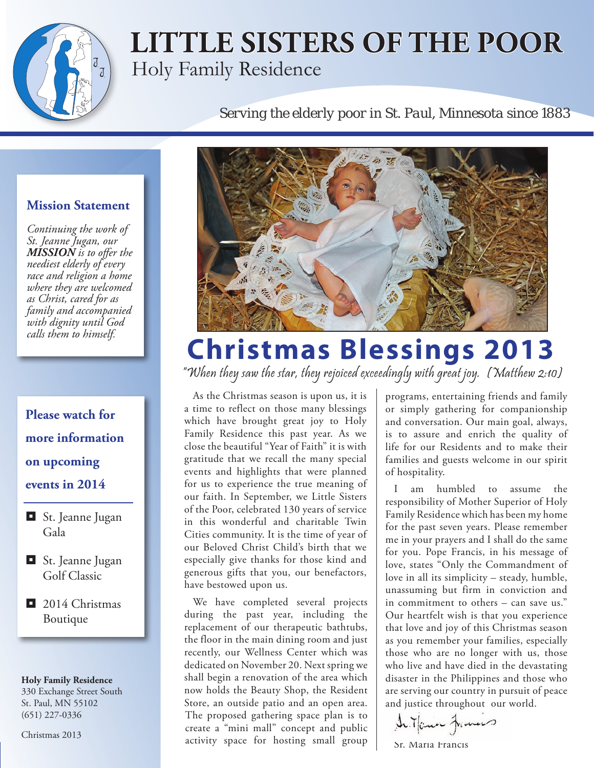

## **LITTLE SISTERS OF THE POOR** Holy Family Residence

#### *Serving the elderly poor in St. Paul, Minnesota since 1883*

#### **Mission Statement**

*Continuing the work of St. Jeanne Jugan, our MISSION is to offer the neediest elderly of every race and religion a home where they are welcomed as Christ, cared for as family and accompanied with dignity until God calls them to himself.*

### **Please watch for more information on upcoming events in 2014**

- **St.** Jeanne Jugan Gala
- **St.** Jeanne Jugan Golf Classic
- 2014 Christmas Boutique

**Holy Family Residence** 

330 Exchange Street South St. Paul, MN 55102 (651) 227-0336

Christmas 2013



# **Christmas Blessings 2013**

"When they saw the star, they rejoiced exceedingly with great joy. (Matthew 2:10)

As the Christmas season is upon us, it is a time to reflect on those many blessings which have brought great joy to Holy Family Residence this past year. As we close the beautiful "Year of Faith" it is with gratitude that we recall the many special events and highlights that were planned for us to experience the true meaning of our faith. In September, we Little Sisters of the Poor, celebrated 130 years of service in this wonderful and charitable Twin Cities community. It is the time of year of our Beloved Christ Child's birth that we especially give thanks for those kind and generous gifts that you, our benefactors, have bestowed upon us.

We have completed several projects during the past year, including the replacement of our therapeutic bathtubs, the floor in the main dining room and just recently, our Wellness Center which was dedicated on November 20. Next spring we shall begin a renovation of the area which now holds the Beauty Shop, the Resident Store, an outside patio and an open area. The proposed gathering space plan is to create a "mini mall" concept and public activity space for hosting small group programs, entertaining friends and family or simply gathering for companionship and conversation. Our main goal, always, is to assure and enrich the quality of life for our Residents and to make their families and guests welcome in our spirit of hospitality.

I am humbled to assume the responsibility of Mother Superior of Holy Family Residence which has been my home for the past seven years. Please remember me in your prayers and I shall do the same for you. Pope Francis, in his message of love, states "Only the Commandment of love in all its simplicity – steady, humble, unassuming but firm in conviction and in commitment to others – can save us." Our heartfelt wish is that you experience that love and joy of this Christmas season as you remember your families, especially those who are no longer with us, those who live and have died in the devastating disaster in the Philippines and those who are serving our country in pursuit of peace and justice throughout our world.

In Touse Frances

Sr. Maria Francis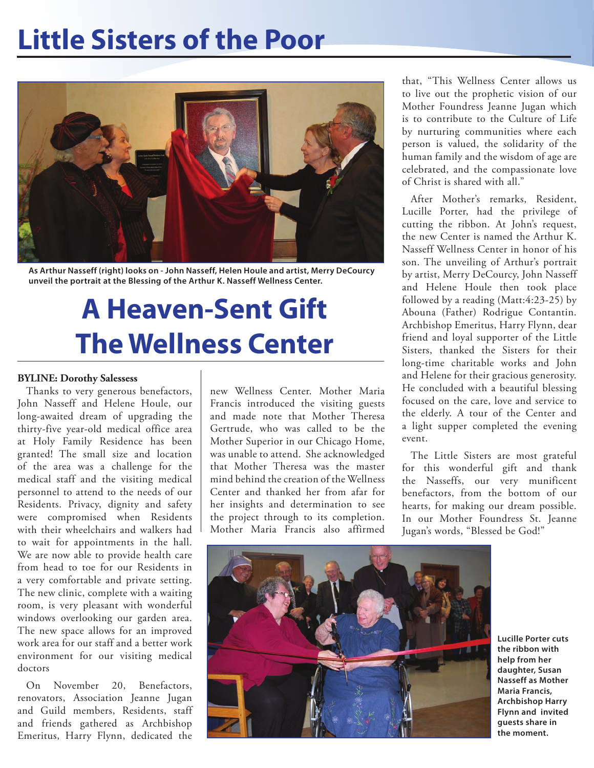## **Little Sisters of the Poor**



**As Arthur Nasseff (right) looks on - John Nasseff, Helen Houle and artist, Merry DeCourcy unveil the portrait at the Blessing of the Arthur K. Nasseff Wellness Center.**

# **A Heaven-Sent Gift The Wellness Center**

#### **BYLINE: Dorothy Salessess**

Thanks to very generous benefactors, John Nasseff and Helene Houle, our long-awaited dream of upgrading the thirty-five year-old medical office area at Holy Family Residence has been granted! The small size and location of the area was a challenge for the medical staff and the visiting medical personnel to attend to the needs of our Residents. Privacy, dignity and safety were compromised when Residents with their wheelchairs and walkers had to wait for appointments in the hall. We are now able to provide health care from head to toe for our Residents in a very comfortable and private setting. The new clinic, complete with a waiting room, is very pleasant with wonderful windows overlooking our garden area. The new space allows for an improved work area for our staff and a better work environment for our visiting medical doctors

On November 20, Benefactors, renovators, Association Jeanne Jugan and Guild members, Residents, staff and friends gathered as Archbishop Emeritus, Harry Flynn, dedicated the

new Wellness Center. Mother Maria Francis introduced the visiting guests and made note that Mother Theresa Gertrude, who was called to be the Mother Superior in our Chicago Home, was unable to attend. She acknowledged that Mother Theresa was the master mind behind the creation of the Wellness Center and thanked her from afar for her insights and determination to see the project through to its completion. Mother Maria Francis also affirmed

that, "This Wellness Center allows us to live out the prophetic vision of our Mother Foundress Jeanne Jugan which is to contribute to the Culture of Life by nurturing communities where each person is valued, the solidarity of the human family and the wisdom of age are celebrated, and the compassionate love of Christ is shared with all."

After Mother's remarks, Resident, Lucille Porter, had the privilege of cutting the ribbon. At John's request, the new Center is named the Arthur K. Nasseff Wellness Center in honor of his son. The unveiling of Arthur's portrait by artist, Merry DeCourcy, John Nasseff and Helene Houle then took place followed by a reading (Matt:4:23-25) by Abouna (Father) Rodrigue Contantin. Archbishop Emeritus, Harry Flynn, dear friend and loyal supporter of the Little Sisters, thanked the Sisters for their long-time charitable works and John and Helene for their gracious generosity. He concluded with a beautiful blessing focused on the care, love and service to the elderly. A tour of the Center and a light supper completed the evening event.

The Little Sisters are most grateful for this wonderful gift and thank the Nasseffs, our very munificent benefactors, from the bottom of our hearts, for making our dream possible. In our Mother Foundress St. Jeanne Jugan's words, "Blessed be God!"



**Lucille Porter cuts the ribbon with help from her daughter, Susan Nasseff as Mother Maria Francis, Archbishop Harry Flynn and invited guests share in the moment.**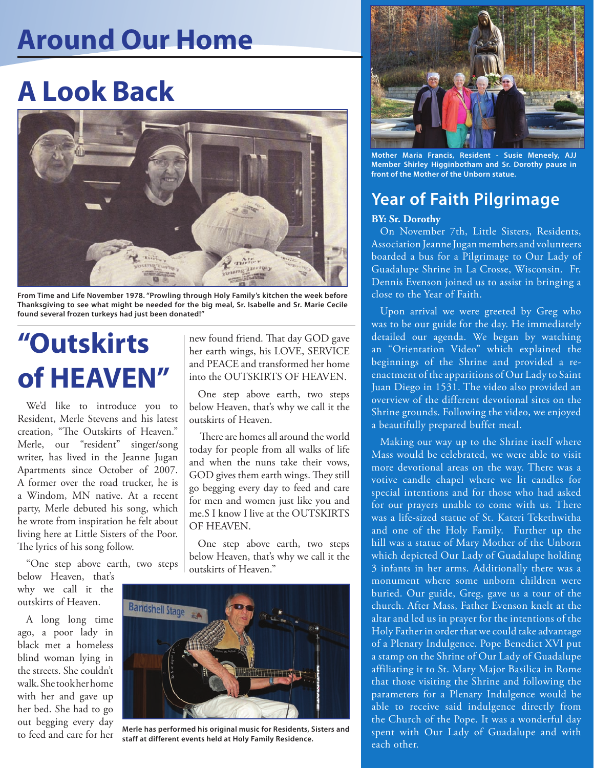## **Around Our Home**

# **A Look Back**



**From Time and Life November 1978. "Prowling through Holy Family's kitchen the week before Thanksgiving to see what might be needed for the big meal, Sr. Isabelle and Sr. Marie Cecile found several frozen turkeys had just been donated!"**

# **"Outskirts of HEAVEN"**

We'd like to introduce you to Resident, Merle Stevens and his latest creation, "The Outskirts of Heaven." Merle, our "resident" singer/song writer, has lived in the Jeanne Jugan Apartments since October of 2007. A former over the road trucker, he is a Windom, MN native. At a recent party, Merle debuted his song, which he wrote from inspiration he felt about living here at Little Sisters of the Poor. The lyrics of his song follow.

"One step above earth, two steps below Heaven, that's

why we call it the outskirts of Heaven.

A long long time ago, a poor lady in black met a homeless blind woman lying in the streets. She couldn't walk. She took her home with her and gave up her bed. She had to go out begging every day to feed and care for her

new found friend. That day GOD gave her earth wings, his LOVE, SERVICE and PEACE and transformed her home into the OUTSKIRTS OF HEAVEN.

One step above earth, two steps below Heaven, that's why we call it the outskirts of Heaven.

 There are homes all around the world today for people from all walks of life and when the nuns take their vows, GOD gives them earth wings. They still go begging every day to feed and care for men and women just like you and me.S I know I live at the OUTSKIRTS OF HEAVEN.

One step above earth, two steps below Heaven, that's why we call it the outskirts of Heaven."



**Merle has performed his original music for Residents, Sisters and staff at different events held at Holy Family Residence.**



**Mother Maria Francis, Resident - Susie Meneely, AJJ Member Shirley Higginbotham and Sr. Dorothy pause in front of the Mother of the Unborn statue.**

### **Year of Faith Pilgrimage**

#### **BY: Sr. Dorothy**

On November 7th, Little Sisters, Residents, Association Jeanne Jugan members and volunteers boarded a bus for a Pilgrimage to Our Lady of Guadalupe Shrine in La Crosse, Wisconsin. Fr. Dennis Evenson joined us to assist in bringing a close to the Year of Faith.

Upon arrival we were greeted by Greg who was to be our guide for the day. He immediately detailed our agenda. We began by watching an "Orientation Video" which explained the beginnings of the Shrine and provided a reenactment of the apparitions of Our Lady to Saint Juan Diego in 1531. The video also provided an overview of the different devotional sites on the Shrine grounds. Following the video, we enjoyed a beautifully prepared buffet meal.

Making our way up to the Shrine itself where Mass would be celebrated, we were able to visit more devotional areas on the way. There was a votive candle chapel where we lit candles for special intentions and for those who had asked for our prayers unable to come with us. There was a life-sized statue of St. Kateri Tekethwitha and one of the Holy Family. Further up the hill was a statue of Mary Mother of the Unborn which depicted Our Lady of Guadalupe holding 3 infants in her arms. Additionally there was a monument where some unborn children were buried. Our guide, Greg, gave us a tour of the church. After Mass, Father Evenson knelt at the altar and led us in prayer for the intentions of the Holy Father in order that we could take advantage of a Plenary Indulgence. Pope Benedict XVI put a stamp on the Shrine of Our Lady of Guadalupe affiliating it to St. Mary Major Basilica in Rome that those visiting the Shrine and following the parameters for a Plenary Indulgence would be able to receive said indulgence directly from the Church of the Pope. It was a wonderful day spent with Our Lady of Guadalupe and with each other.